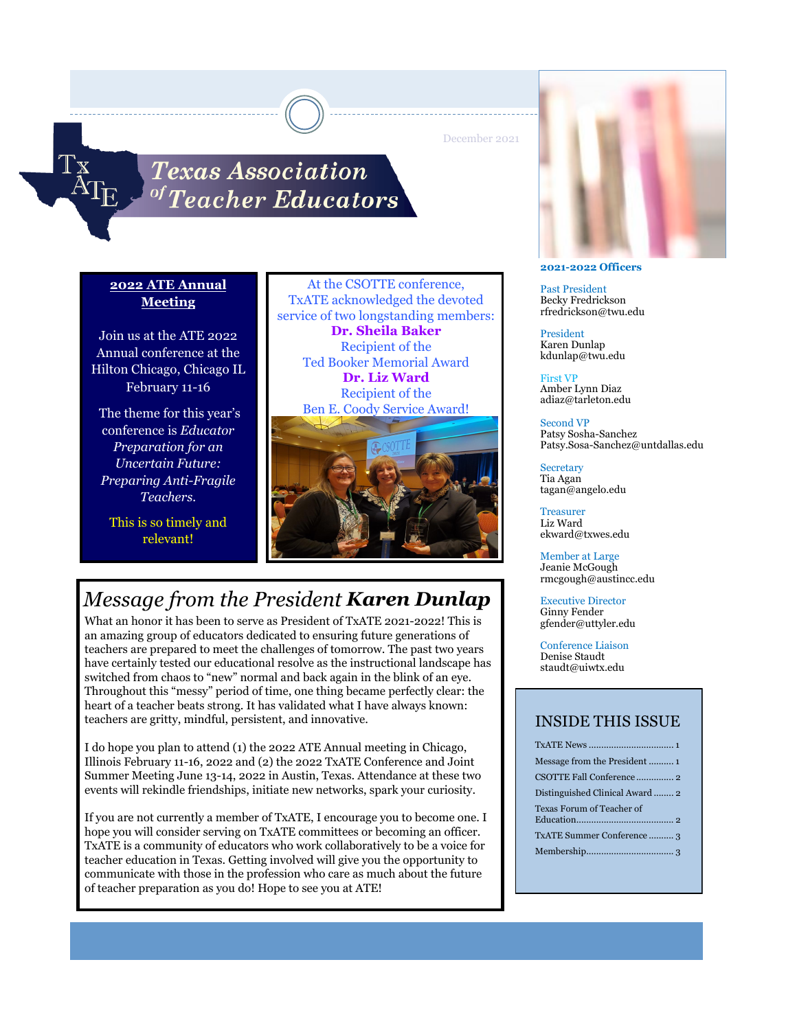December 2021

# **Texas Association**  $\it ^{of}$ Teacher Educators $^{\rm }$

## **2022 ATE Annual Meeting**

Join us at the ATE 2022 Annual conference at the Hilton Chicago, Chicago IL February 11-16

 The theme for this year's conference is *Educator Preparation for an Uncertain Future: Preparing Anti-Fragile Teachers.*

This is so timely and relevant!

At the CSOTTE conference, TxATE acknowledged the devoted service of two longstanding members: **Dr. Sheila Baker** Recipient of the Ted Booker Memorial Award **Dr. Liz Ward** Recipient of the Ben E. Coody Service Award!



# *Message from the President Karen Dunlap*

What an honor it has been to serve as President of TxATE 2021-2022! This is an amazing group of educators dedicated to ensuring future generations of teachers are prepared to meet the challenges of tomorrow. The past two years have certainly tested our educational resolve as the instructional landscape has switched from chaos to "new" normal and back again in the blink of an eye. Throughout this "messy" period of time, one thing became perfectly clear: the heart of a teacher beats strong. It has validated what I have always known: teachers are gritty, mindful, persistent, and innovative.

I do hope you plan to attend (1) the 2022 ATE Annual meeting in Chicago, Illinois February 11-16, 2022 and (2) the 2022 TxATE Conference and Joint Summer Meeting June 13-14, 2022 in Austin, Texas. Attendance at these two events will rekindle friendships, initiate new networks, spark your curiosity.

If you are not currently a member of TxATE, I encourage you to become one. I hope you will consider serving on TxATE committees or becoming an officer. TxATE is a community of educators who work collaboratively to be a voice for teacher education in Texas. Getting involved will give you the opportunity to communicate with those in the profession who care as much about the future of teacher preparation as you do! Hope to see you at ATE!



#### **2021-2022 Officers**

Past President Becky Fredrickson rfredrickson@twu.edu

President Karen Dunlap kdunlap@twu.edu

First VP Amber Lynn Diaz adiaz@tarleton.edu

Second VP Patsy Sosha-Sanchez Patsy.Sosa-Sanchez@untdallas.edu

**Secretary** Tia Agan tagan@angelo.edu

Treasurer Liz Ward ekward@txwes.edu

Member at Large Jeanie McGough rmcgough@austincc.edu

Executive Director Ginny Fender gfender@uttyler.edu

Conference Liaison Denise Staudt staudt@uiwtx.edu

## INSIDE THIS ISSUE

| CSOTTE Fall Conference 2        |
|---------------------------------|
| Distinguished Clinical Award  2 |
| Texas Forum of Teacher of       |
| TxATE Summer Conference3        |
|                                 |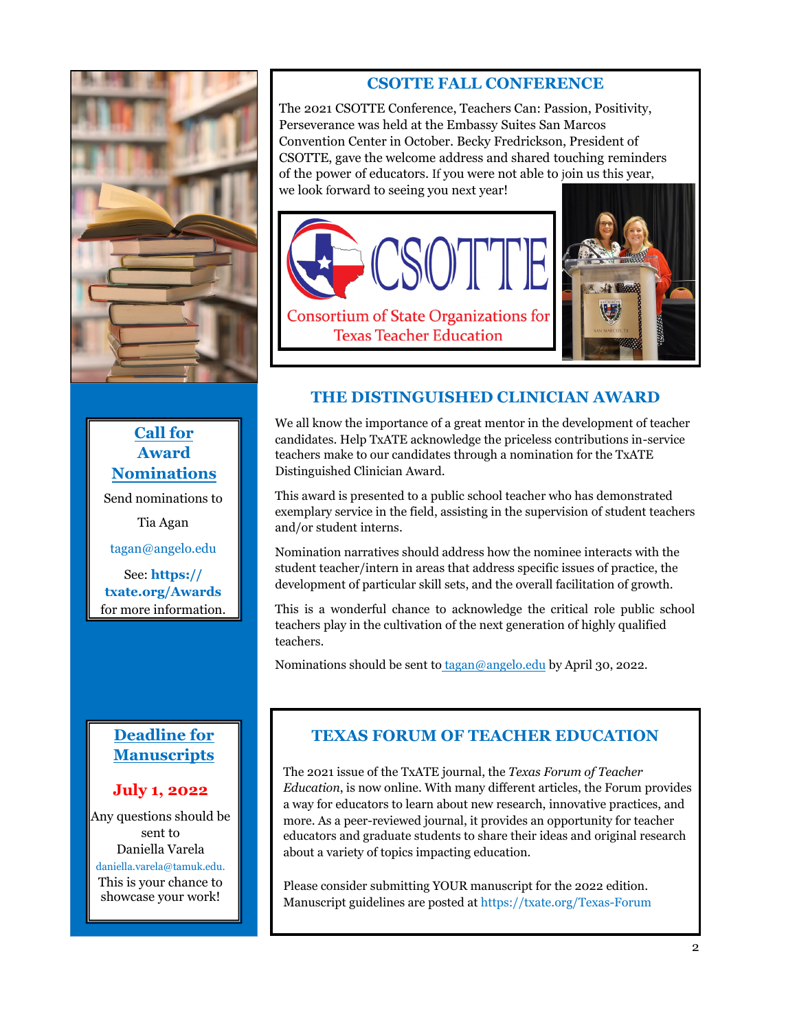

**Call for Award Nominations** Send nominations to Tia Agan tagan@angelo.edu

See: **https:// txate.org/Awards** for more information.

## **CSOTTE FALL CONFERENCE**

The 2021 CSOTTE Conference, Teachers Can: Passion, Positivity, Perseverance was held at the Embassy Suites San Marcos Convention Center in October. Becky Fredrickson, President of CSOTTE, gave the welcome address and shared touching reminders of the power of educators. If you were not able to join us this year, we look forward to seeing you next year!





# **THE DISTINGUISHED CLINICIAN AWARD**

We all know the importance of a great mentor in the development of teacher candidates. Help TxATE acknowledge the priceless contributions in-service teachers make to our candidates through a nomination for the TxATE Distinguished Clinician Award.

This award is presented to a public school teacher who has demonstrated exemplary service in the field, assisting in the supervision of student teachers and/or student interns.

Nomination narratives should address how the nominee interacts with the student teacher/intern in areas that address specific issues of practice, the development of particular skill sets, and the overall facilitation of growth.

This is a wonderful chance to acknowledge the critical role public school teachers play in the cultivation of the next generation of highly qualified teachers.

Nominations should be sent to tagan@angelo.edu by April 30, 2022.

# **Deadline for Manuscripts**

## **July 1, 2022**

Any questions should be sent to Daniella Varela daniella.varela@tamuk.edu. This is your chance to showcase your work!

# **TEXAS FORUM OF TEACHER EDUCATION**

The 2021 issue of the TxATE journal, the *Texas Forum of Teacher Education*, is now online. With many different articles, the Forum provides a way for educators to learn about new research, innovative practices, and more. As a peer-reviewed journal, it provides an opportunity for teacher educators and graduate students to share their ideas and original research about a variety of topics impacting education.

Please consider submitting YOUR manuscript for the 2022 edition. Manuscript guidelines are posted at https://txate.org/Texas-Forum